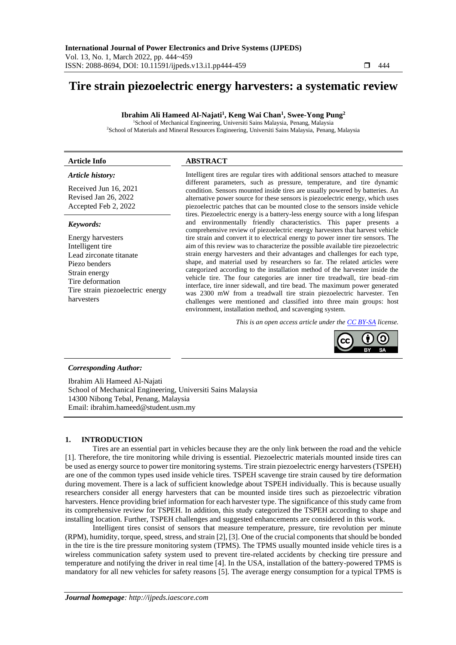# **Tire strain piezoelectric energy harvesters: a systematic review**

**Ibrahim Ali Hameed Al-Najati<sup>1</sup> , Keng Wai Chan<sup>1</sup> , Swee-Yong Pung<sup>2</sup>**

<sup>1</sup>School of Mechanical Engineering, Universiti Sains Malaysia, Penang, Malaysia <sup>2</sup>School of Materials and Mineral Resources Engineering, Universiti Sains Malaysia, Penang, Malaysia

## **Article Info ABSTRACT**

#### *Article history:*

Received Jun 16, 2021 Revised Jan 26, 2022 Accepted Feb 2, 2022

#### *Keywords:*

Energy harvesters Intelligent tire Lead zirconate titanate Piezo benders Strain energy Tire deformation Tire strain piezoelectric energy harvesters

Intelligent tires are regular tires with additional sensors attached to measure different parameters, such as pressure, temperature, and tire dynamic condition. Sensors mounted inside tires are usually powered by batteries. An alternative power source for these sensors is piezoelectric energy, which uses piezoelectric patches that can be mounted close to the sensors inside vehicle tires. Piezoelectric energy is a battery-less energy source with a long lifespan and environmentally friendly characteristics. This paper presents a comprehensive review of piezoelectric energy harvesters that harvest vehicle tire strain and convert it to electrical energy to power inner tire sensors. The aim of this review was to characterize the possible available tire piezoelectric strain energy harvesters and their advantages and challenges for each type, shape, and material used by researchers so far. The related articles were categorized according to the installation method of the harvester inside the vehicle tire. The four categories are inner tire treadwall, tire bead–rim interface, tire inner sidewall, and tire bead. The maximum power generated was 2300 mW from a treadwall tire strain piezoelectric harvester. Ten challenges were mentioned and classified into three main groups: host environment, installation method, and scavenging system.

*This is an open access article under the [CC BY-SA](https://creativecommons.org/licenses/by-sa/4.0/) license.*



## *Corresponding Author:*

Ibrahim Ali Hameed Al-Najati School of Mechanical Engineering, Universiti Sains Malaysia 14300 Nibong Tebal, Penang, Malaysia Email: ibrahim.hameed@student.usm.my

# **1. INTRODUCTION**

Tires are an essential part in vehicles because they are the only link between the road and the vehicle [1]. Therefore, the tire monitoring while driving is essential. Piezoelectric materials mounted inside tires can be used as energy source to power tire monitoring systems. Tire strain piezoelectric energy harvesters (TSPEH) are one of the common types used inside vehicle tires. TSPEH scavenge tire strain caused by tire deformation during movement. There is a lack of sufficient knowledge about TSPEH individually. This is because usually researchers consider all energy harvesters that can be mounted inside tires such as piezoelectric vibration harvesters. Hence providing brief information for each harvester type. The significance of this study came from its comprehensive review for TSPEH. In addition, this study categorized the TSPEH according to shape and installing location. Further, TSPEH challenges and suggested enhancements are considered in this work.

Intelligent tires consist of sensors that measure temperature, pressure, tire revolution per minute (RPM), humidity, torque, speed, stress, and strain [2], [3]. One of the crucial components that should be bonded in the tire is the tire pressure monitoring system (TPMS). The TPMS usually mounted inside vehicle tires is a wireless communication safety system used to prevent tire-related accidents by checking tire pressure and temperature and notifying the driver in real time [4]. In the USA, installation of the battery-powered TPMS is mandatory for all new vehicles for safety reasons [5]. The average energy consumption for a typical TPMS is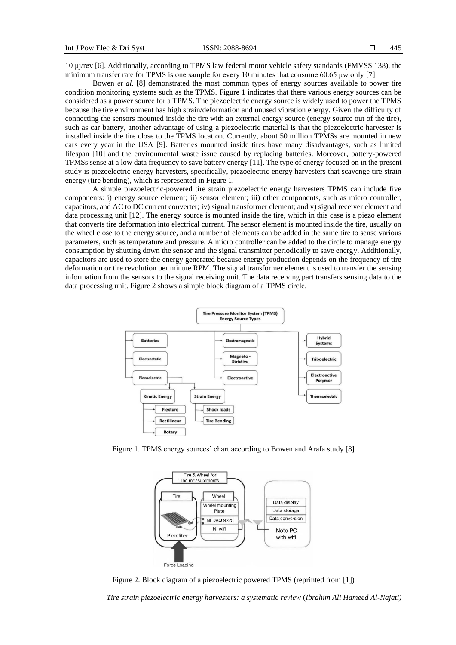10 μj/rev [6]. Additionally, according to TPMS law federal motor vehicle safety standards (FMVSS 138), the minimum transfer rate for TPMS is one sample for every 10 minutes that consume 60.65 μw only [7].

Bowen *et al*. [8] demonstrated the most common types of energy sources available to power tire condition monitoring systems such as the TPMS. Figure 1 indicates that there various energy sources can be considered as a power source for a TPMS. The piezoelectric energy source is widely used to power the TPMS because the tire environment has high strain/deformation and unused vibration energy. Given the difficulty of connecting the sensors mounted inside the tire with an external energy source (energy source out of the tire), such as car battery, another advantage of using a piezoelectric material is that the piezoelectric harvester is installed inside the tire close to the TPMS location. Currently, about 50 million TPMSs are mounted in new cars every year in the USA [9]. Batteries mounted inside tires have many disadvantages, such as limited lifespan [10] and the environmental waste issue caused by replacing batteries. Moreover, battery-powered TPMSs sense at a low data frequency to save battery energy [11]. The type of energy focused on in the present study is piezoelectric energy harvesters, specifically, piezoelectric energy harvesters that scavenge tire strain energy (tire bending), which is represented in Figure 1.

A simple piezoelectric-powered tire strain piezoelectric energy harvesters TPMS can include five components: i) energy source element; ii) sensor element; iii) other components, such as micro controller, capacitors, and AC to DC current converter; iv) signal transformer element; and v) signal receiver element and data processing unit [12]. The energy source is mounted inside the tire, which in this case is a piezo element that converts tire deformation into electrical current. The sensor element is mounted inside the tire, usually on the wheel close to the energy source, and a number of elements can be added in the same tire to sense various parameters, such as temperature and pressure. A micro controller can be added to the circle to manage energy consumption by shutting down the sensor and the signal transmitter periodically to save energy. Additionally, capacitors are used to store the energy generated because energy production depends on the frequency of tire deformation or tire revolution per minute RPM. The signal transformer element is used to transfer the sensing information from the sensors to the signal receiving unit. The data receiving part transfers sensing data to the data processing unit. Figure 2 shows a simple block diagram of a TPMS circle.



Figure 1. TPMS energy sources' chart according to Bowen and Arafa study [8]



Figure 2. Block diagram of a piezoelectric powered TPMS (reprinted from [1])

*Tire strain piezoelectric energy harvesters: a systematic review* (*Ibrahim Ali Hameed Al-Najati)*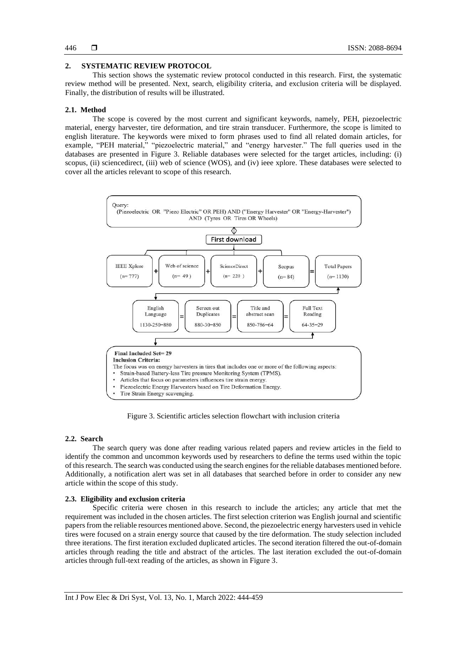# **2. SYSTEMATIC REVIEW PROTOCOL**

This section shows the systematic review protocol conducted in this research. First, the systematic review method will be presented. Next, search, eligibility criteria, and exclusion criteria will be displayed. Finally, the distribution of results will be illustrated.

## **2.1. Method**

The scope is covered by the most current and significant keywords, namely, PEH, piezoelectric material, energy harvester, tire deformation, and tire strain transducer. Furthermore, the scope is limited to english literature. The keywords were mixed to form phrases used to find all related domain articles, for example, "PEH material," "piezoelectric material," and "energy harvester." The full queries used in the databases are presented in Figure 3. Reliable databases were selected for the target articles, including: (i) scopus, (ii) sciencedirect, (iii) web of science (WOS), and (iv) ieee xplore. These databases were selected to cover all the articles relevant to scope of this research.



Figure 3. Scientific articles selection flowchart with inclusion criteria

## **2.2. Search**

The search query was done after reading various related papers and review articles in the field to identify the common and uncommon keywords used by researchers to define the terms used within the topic of this research. The search was conducted using the search engines for the reliable databases mentioned before. Additionally, a notification alert was set in all databases that searched before in order to consider any new article within the scope of this study.

## **2.3. Eligibility and exclusion criteria**

Specific criteria were chosen in this research to include the articles; any article that met the requirement was included in the chosen articles. The first selection criterion was English journal and scientific papers from the reliable resources mentioned above. Second, the piezoelectric energy harvesters used in vehicle tires were focused on a strain energy source that caused by the tire deformation. The study selection included three iterations. The first iteration excluded duplicated articles. The second iteration filtered the out-of-domain articles through reading the title and abstract of the articles. The last iteration excluded the out-of-domain articles through full-text reading of the articles, as shown in Figure 3.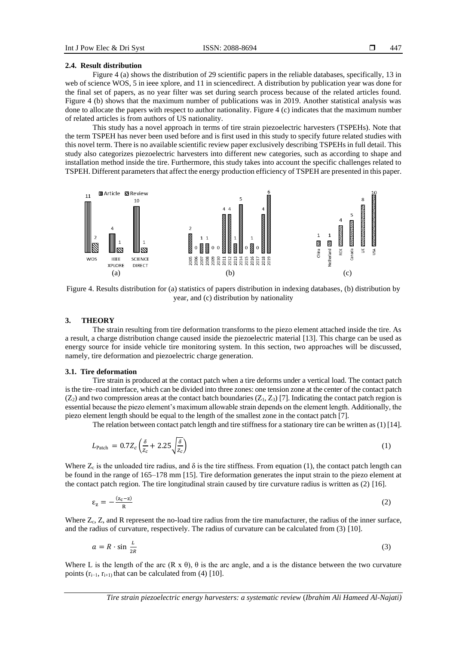#### **2.4. Result distribution**

Figure 4 (a) shows the distribution of 29 scientific papers in the reliable databases, specifically, 13 in web of science WOS, 5 in ieee xplore, and 11 in sciencedirect. A distribution by publication year was done for the final set of papers, as no year filter was set during search process because of the related articles found. Figure 4 (b) shows that the maximum number of publications was in 2019. Another statistical analysis was done to allocate the papers with respect to author nationality. Figure 4 (c) indicates that the maximum number of related articles is from authors of US nationality.

This study has a novel approach in terms of tire strain piezoelectric harvesters (TSPEHs). Note that the term TSPEH has never been used before and is first used in this study to specify future related studies with this novel term. There is no available scientific review paper exclusively describing TSPEHs in full detail. This study also categorizes piezoelectric harvesters into different new categories, such as according to shape and installation method inside the tire. Furthermore, this study takes into account the specific challenges related to TSPEH. Different parameters that affect the energy production efficiency of TSPEH are presented in this paper.



Figure 4. Results distribution for (a) statistics of papers distribution in indexing databases, (b) distribution by year, and (c) distribution by nationality

#### **3. THEORY**

The strain resulting from tire deformation transforms to the piezo element attached inside the tire. As a result, a charge distribution change caused inside the piezoelectric material [13]. This charge can be used as energy source for inside vehicle tire monitoring system. In this section, two approaches will be discussed, namely, tire deformation and piezoelectric charge generation.

#### **3.1. Tire deformation**

Tire strain is produced at the contact patch when a tire deforms under a vertical load. The contact patch is the tire–road interface, which can be divided into three zones: one tension zone at the center of the contact patch  $(Z_2)$  and two compression areas at the contact batch boundaries  $(Z_1, Z_3)$  [7]. Indicating the contact patch region is essential because the piezo element's maximum allowable strain depends on the element length. Additionally, the piezo element length should be equal to the length of the smallest zone in the contact patch [7].

The relation between contact patch length and tire stiffness for a stationary tire can be written as(1) [14].

$$
L_{\text{patch}} = 0.7Z_c \left(\frac{\delta}{Z_c} + 2.25 \sqrt{\frac{\delta}{Z_c}}\right) \tag{1}
$$

Where  $Z_c$  is the unloaded tire radius, and  $\delta$  is the tire stiffness. From equation (1), the contact patch length can be found in the range of 165–178 mm [15]. Tire deformation generates the input strain to the piezo element at the contact patch region. The tire longitudinal strain caused by tire curvature radius is written as (2) [16].

$$
\varepsilon_{z} = -\frac{(z_{c}-z)}{R} \tag{2}
$$

Where  $Z_c$ ,  $Z_c$ , and R represent the no-load tire radius from the tire manufacturer, the radius of the inner surface, and the radius of curvature, respectively. The radius of curvature can be calculated from (3) [10].

$$
a = R \cdot \sin \frac{L}{2R} \tag{3}
$$

Where L is the length of the arc  $(R \times \theta)$ ,  $\theta$  is the arc angle, and a is the distance between the two curvature points  $(r_{i-1}, r_{i+1})$  that can be calculated from (4) [10].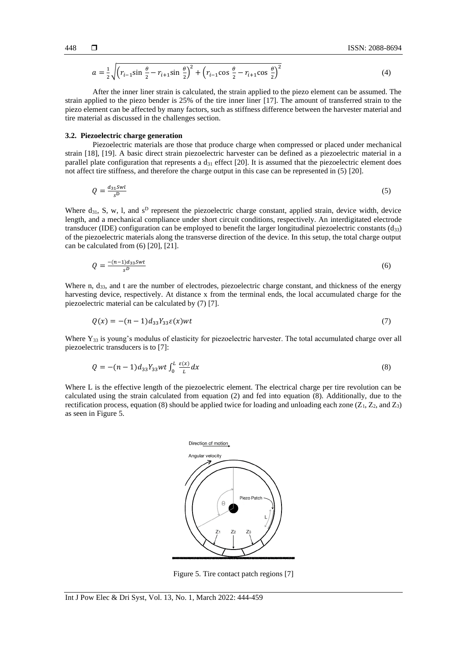$$
a = \frac{1}{2} \sqrt{\left(r_{i-1} \sin \frac{\theta}{2} - r_{i+1} \sin \frac{\theta}{2}\right)^2 + \left(r_{i-1} \cos \frac{\theta}{2} - r_{i+1} \cos \frac{\theta}{2}\right)^2}
$$
(4)

After the inner liner strain is calculated, the strain applied to the piezo element can be assumed. The strain applied to the piezo bender is 25% of the tire inner liner [17]. The amount of transferred strain to the piezo element can be affected by many factors, such as stiffness difference between the harvester material and tire material as discussed in the challenges section.

#### **3.2. Piezoelectric charge generation**

Piezoelectric materials are those that produce charge when compressed or placed under mechanical strain [18], [19]. A basic direct strain piezoelectric harvester can be defined as a piezoelectric material in a parallel plate configuration that represents a  $d_{31}$  effect [20]. It is assumed that the piezoelectric element does not affect tire stiffness, and therefore the charge output in this case can be represented in (5) [20].

$$
Q = \frac{d_{31} \mathcal{S} \mathcal{W}l}{\mathcal{S}^D} \tag{5}
$$

Where  $d_{31}$ , S, w, l, and  $s^D$  represent the piezoelectric charge constant, applied strain, device width, device length, and a mechanical compliance under short circuit conditions, respectively. An interdigitated electrode transducer (IDE) configuration can be employed to benefit the larger longitudinal piezoelectric constants (d33) of the piezoelectric materials along the transverse direction of the device. In this setup, the total charge output can be calculated from (6) [20], [21].

$$
Q = \frac{-(n-1)d_{33}swt}{s^D} \tag{6}
$$

Where n,  $d_{33}$ , and t are the number of electrodes, piezoelectric charge constant, and thickness of the energy harvesting device, respectively. At distance x from the terminal ends, the local accumulated charge for the piezoelectric material can be calculated by (7) [7].

$$
Q(x) = -(n-1)d_{33}Y_{33}\varepsilon(x)wt
$$
\n(7)

Where  $Y_{33}$  is young's modulus of elasticity for piezoelectric harvester. The total accumulated charge over all piezoelectric transducers is to [7]:

$$
Q = -(n-1)d_{33}Y_{33}wt \int_0^L \frac{\varepsilon(x)}{L} dx
$$
\n(8)

Where L is the effective length of the piezoelectric element. The electrical charge per tire revolution can be calculated using the strain calculated from equation (2) and fed into equation (8). Additionally, due to the rectification process, equation (8) should be applied twice for loading and unloading each zone ( $Z_1$ ,  $Z_2$ , and  $Z_3$ ) as seen in Figure 5.



Figure 5. Tire contact patch regions [7]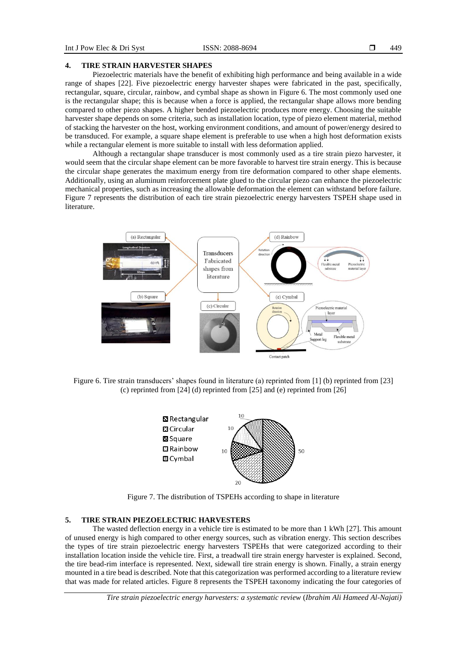## **4. TIRE STRAIN HARVESTER SHAPES**

Piezoelectric materials have the benefit of exhibiting high performance and being available in a wide range of shapes [22]. Five piezoelectric energy harvester shapes were fabricated in the past, specifically, rectangular, square, circular, rainbow, and cymbal shape as shown in Figure 6. The most commonly used one is the rectangular shape; this is because when a force is applied, the rectangular shape allows more bending compared to other piezo shapes. A higher bended piezoelectric produces more energy. Choosing the suitable harvester shape depends on some criteria, such as installation location, type of piezo element material, method of stacking the harvester on the host, working environment conditions, and amount of power/energy desired to be transduced. For example, a square shape element is preferable to use when a high host deformation exists while a rectangular element is more suitable to install with less deformation applied.

Although a rectangular shape transducer is most commonly used as a tire strain piezo harvester, it would seem that the circular shape element can be more favorable to harvest tire strain energy. This is because the circular shape generates the maximum energy from tire deformation compared to other shape elements. Additionally, using an aluminum reinforcement plate glued to the circular piezo can enhance the piezoelectric mechanical properties, such as increasing the allowable deformation the element can withstand before failure. Figure 7 represents the distribution of each tire strain piezoelectric energy harvesters TSPEH shape used in literature.



Figure 6. Tire strain transducers' shapes found in literature (a) reprinted from [1] (b) reprinted from [23] (c) reprinted from [24] (d) reprinted from [25] and (e) reprinted from [26]



Figure 7. The distribution of TSPEHs according to shape in literature

## **5. TIRE STRAIN PIEZOELECTRIC HARVESTERS**

The wasted deflection energy in a vehicle tire is estimated to be more than 1 kWh [27]. This amount of unused energy is high compared to other energy sources, such as vibration energy. This section describes the types of tire strain piezoelectric energy harvesters TSPEHs that were categorized according to their installation location inside the vehicle tire. First, a treadwall tire strain energy harvester is explained. Second, the tire bead-rim interface is represented. Next, sidewall tire strain energy is shown. Finally, a strain energy mounted in a tire bead is described. Note that this categorization was performed according to a literature review that was made for related articles. Figure 8 represents the TSPEH taxonomy indicating the four categories of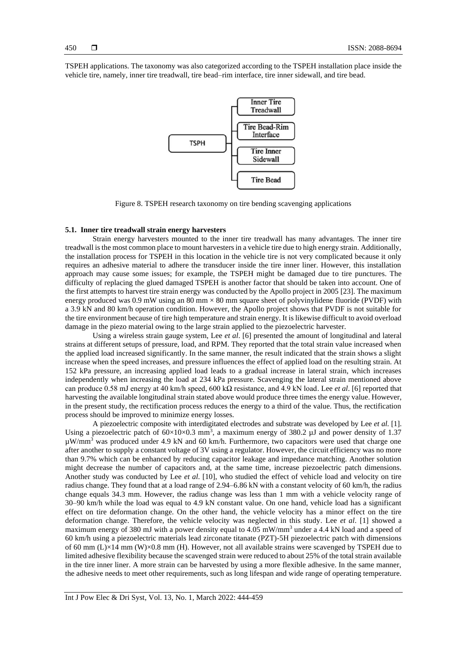TSPEH applications. The taxonomy was also categorized according to the TSPEH installation place inside the vehicle tire, namely, inner tire treadwall, tire bead–rim interface, tire inner sidewall, and tire bead.



Figure 8. TSPEH research taxonomy on tire bending scavenging applications

# **5.1. Inner tire treadwall strain energy harvesters**

Strain energy harvesters mounted to the inner tire treadwall has many advantages. The inner tire treadwall is the most common place to mount harvesters in a vehicle tire due to high energy strain. Additionally, the installation process for TSPEH in this location in the vehicle tire is not very complicated because it only requires an adhesive material to adhere the transducer inside the tire inner liner. However, this installation approach may cause some issues; for example, the TSPEH might be damaged due to tire punctures. The difficulty of replacing the glued damaged TSPEH is another factor that should be taken into account. One of the first attempts to harvest tire strain energy was conducted by the Apollo project in 2005 [23]. The maximum energy produced was  $0.9 \text{ mW}$  using an  $80 \text{ mm} \times 80 \text{ mm}$  square sheet of polyvinylidene fluoride (PVDF) with a 3.9 kN and 80 km/h operation condition. However, the Apollo project shows that PVDF is not suitable for the tire environment because of tire high temperature and strain energy. It is likewise difficult to avoid overload damage in the piezo material owing to the large strain applied to the piezoelectric harvester.

Using a wireless strain gauge system, Lee *et al*. [6] presented the amount of longitudinal and lateral strains at different setups of pressure, load, and RPM. They reported that the total strain value increased when the applied load increased significantly. In the same manner, the result indicated that the strain shows a slight increase when the speed increases, and pressure influences the effect of applied load on the resulting strain. At 152 kPa pressure, an increasing applied load leads to a gradual increase in lateral strain, which increases independently when increasing the load at 234 kPa pressure. Scavenging the lateral strain mentioned above can produce 0.58 mJ energy at 40 km/h speed, 600 kΩ resistance, and 4.9 kN load. Lee *et al*. [6] reported that harvesting the available longitudinal strain stated above would produce three times the energy value. However, in the present study, the rectification process reduces the energy to a third of the value. Thus, the rectification process should be improved to minimize energy losses.

A piezoelectric composite with interdigitated electrodes and substrate was developed by Lee *et al*. [1]. Using a piezoelectric patch of  $60\times10\times0.3$  mm<sup>3</sup>, a maximum energy of 380.2  $\mu$ J and power density of 1.37  $\mu$ W/mm<sup>3</sup> was produced under 4.9 kN and 60 km/h. Furthermore, two capacitors were used that charge one after another to supply a constant voltage of 3V using a regulator. However, the circuit efficiency was no more than 9.7% which can be enhanced by reducing capacitor leakage and impedance matching. Another solution might decrease the number of capacitors and, at the same time, increase piezoelectric patch dimensions. Another study was conducted by Lee *et al*. [10], who studied the effect of vehicle load and velocity on tire radius change. They found that at a load range of 2.94–6.86 kN with a constant velocity of 60 km/h, the radius change equals 34.3 mm. However, the radius change was less than 1 mm with a vehicle velocity range of 30–90 km/h while the load was equal to 4.9 kN constant value. On one hand, vehicle load has a significant effect on tire deformation change. On the other hand, the vehicle velocity has a minor effect on the tire deformation change. Therefore, the vehicle velocity was neglected in this study. Lee *et al*. [1] showed a maximum energy of 380 mJ with a power density equal to 4.05 mW/mm<sup>3</sup> under a 4.4 kN load and a speed of 60 km/h using a piezoelectric materials lead zirconate titanate (PZT)-5H piezoelectric patch with dimensions of 60 mm (L)×14 mm (W)×0.8 mm (H). However, not all available strains were scavenged by TSPEH due to limited adhesive flexibility because the scavenged strain were reduced to about 25% of the total strain available in the tire inner liner. A more strain can be harvested by using a more flexible adhesive. In the same manner, the adhesive needs to meet other requirements, such as long lifespan and wide range of operating temperature.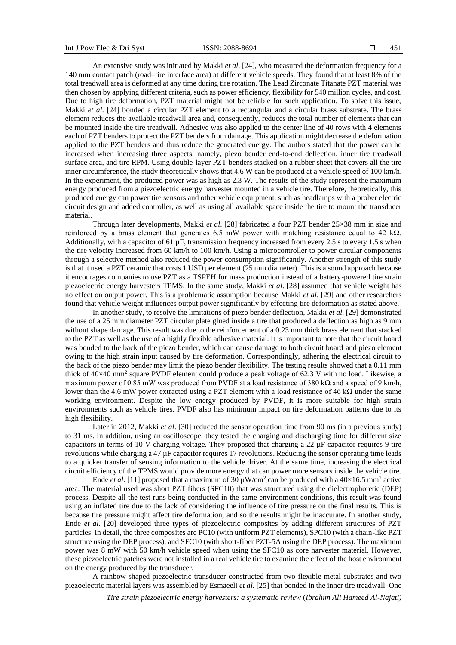An extensive study was initiated by Makki *et al*. [24], who measured the deformation frequency for a 140 mm contact patch (road–tire interface area) at different vehicle speeds. They found that at least 8% of the total treadwall area is deformed at any time during tire rotation. The Lead Zirconate Titanate PZT material was then chosen by applying different criteria, such as power efficiency, flexibility for 540 million cycles, and cost. Due to high tire deformation, PZT material might not be reliable for such application. To solve this issue, Makki *et al*. [24] bonded a circular PZT element to a rectangular and a circular brass substrate. The brass element reduces the available treadwall area and, consequently, reduces the total number of elements that can be mounted inside the tire treadwall. Adhesive was also applied to the center line of 40 rows with 4 elements each of PZT benders to protect the PZT benders from damage. This application might decrease the deformation applied to the PZT benders and thus reduce the generated energy. The authors stated that the power can be increased when increasing three aspects, namely, piezo bender end-to-end deflection, inner tire treadwall surface area, and tire RPM. Using double-layer PZT benders stacked on a rubber sheet that covers all the tire inner circumference, the study theoretically shows that 4.6 W can be produced at a vehicle speed of 100 km/h. In the experiment, the produced power was as high as 2.3 W. The results of the study represent the maximum energy produced from a piezoelectric energy harvester mounted in a vehicle tire. Therefore, theoretically, this produced energy can power tire sensors and other vehicle equipment, such as headlamps with a prober electric circuit design and added controller, as well as using all available space inside the tire to mount the transducer material.

Through later developments, Makki *et al*. [28] fabricated a four PZT bender 25×38 mm in size and reinforced by a brass element that generates 6.5 mW power with matching resistance equal to 42 kΩ. Additionally, with a capacitor of 61  $\mu$ F, transmission frequency increased from every 2.5 s to every 1.5 s when the tire velocity increased from 60 km/h to 100 km/h. Using a microcontroller to power circular components through a selective method also reduced the power consumption significantly. Another strength of this study is that it used a PZT ceramic that costs 1 USD per element (25 mm diameter). This is a sound approach because it encourages companies to use PZT as a TSPEH for mass production instead of a battery-powered tire strain piezoelectric energy harvesters TPMS. In the same study, Makki *et al*. [28] assumed that vehicle weight has no effect on output power. This is a problematic assumption because Makki *et al*. [29] and other researchers found that vehicle weight influences output power significantly by effecting tire deformation as stated above.

In another study, to resolve the limitations of piezo bender deflection, Makki *et al*. [29] demonstrated the use of a 25 mm diameter PZT circular plate glued inside a tire that produced a deflection as high as 9 mm without shape damage. This result was due to the reinforcement of a 0.23 mm thick brass element that stacked to the PZT as well as the use of a highly flexible adhesive material. It is important to note that the circuit board was bonded to the back of the piezo bender, which can cause damage to both circuit board and piezo element owing to the high strain input caused by tire deformation. Correspondingly, adhering the electrical circuit to the back of the piezo bender may limit the piezo bender flexibility. The testing results showed that a 0.11 mm thick of  $40\times40$  mm<sup>2</sup> square PVDF element could produce a peak voltage of 62.3 V with no load. Likewise, a maximum power of 0.85 mW was produced from PVDF at a load resistance of 380 k $\Omega$  and a speed of 9 km/h, lower than the 4.6 mW power extracted using a PZT element with a load resistance of 46 kΩ under the same working environment. Despite the low energy produced by PVDF, it is more suitable for high strain environments such as vehicle tires. PVDF also has minimum impact on tire deformation patterns due to its high flexibility.

Later in 2012, Makki *et al*. [30] reduced the sensor operation time from 90 ms (in a previous study) to 31 ms. In addition, using an oscilloscope, they tested the charging and discharging time for different size capacitors in terms of 10 V charging voltage. They proposed that charging a 22  $\mu$ F capacitor requires 9 tire revolutions while charging a  $47 \mu$ F capacitor requires 17 revolutions. Reducing the sensor operating time leads to a quicker transfer of sensing information to the vehicle driver. At the same time, increasing the electrical circuit efficiency of the TPMS would provide more energy that can power more sensors inside the vehicle tire.

Ende *et al.* [11] proposed that a maximum of 30  $\mu$ W/cm<sup>2</sup> can be produced with a 40×16.5 mm<sup>2</sup> active area. The material used was short PZT fibers (SFC10) that was structured using the dielectrophoretic (DEP) process. Despite all the test runs being conducted in the same environment conditions, this result was found using an inflated tire due to the lack of considering the influence of tire pressure on the final results. This is because tire pressure might affect tire deformation, and so the results might be inaccurate. In another study, Ende *et al*. [20] developed three types of piezoelectric composites by adding different structures of PZT particles. In detail, the three composites are PC10 (with uniform PZT elements), SPC10 (with a chain-like PZT structure using the DEP process), and SFC10 (with short-fiber PZT-5A using the DEP process). The maximum power was 8 mW with 50 km/h vehicle speed when using the SFC10 as core harvester material. However, these piezoelectric patches were not installed in a real vehicle tire to examine the effect of the host environment on the energy produced by the transducer.

A rainbow-shaped piezoelectric transducer constructed from two flexible metal substrates and two piezoelectric material layers was assembled by Esmaeeli *et al*. [25] that bonded in the inner tire treadwall. One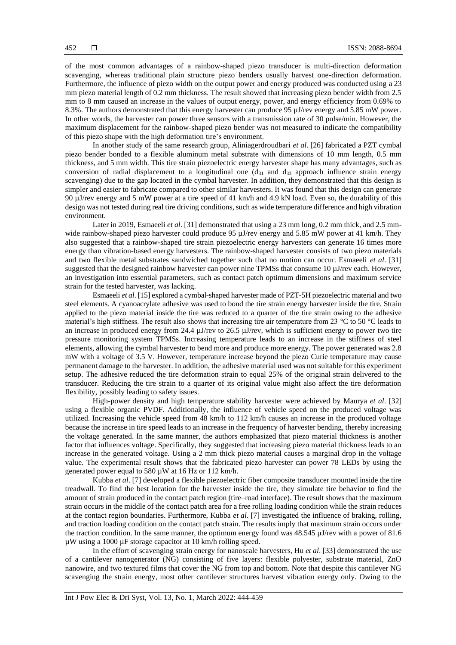of the most common advantages of a rainbow-shaped piezo transducer is multi-direction deformation scavenging, whereas traditional plain structure piezo benders usually harvest one-direction deformation. Furthermore, the influence of piezo width on the output power and energy produced was conducted using a 23 mm piezo material length of 0.2 mm thickness. The result showed that increasing piezo bender width from 2.5 mm to 8 mm caused an increase in the values of output energy, power, and energy efficiency from 0.69% to 8.3%. The authors demonstrated that this energy harvester can produce 95 µJ/rev energy and 5.85 mW power. In other words, the harvester can power three sensors with a transmission rate of 30 pulse/min. However, the maximum displacement for the rainbow-shaped piezo bender was not measured to indicate the compatibility of this piezo shape with the high deformation tire's environment.

In another study of the same research group, Aliniagerdroudbari *et al*. [26] fabricated a PZT cymbal piezo bender bonded to a flexible aluminum metal substrate with dimensions of 10 mm length, 0.5 mm thickness, and 5 mm width. This tire strain piezoelectric energy harvester shape has many advantages, such as conversion of radial displacement to a longitudinal one  $(d_{31}$  and  $d_{33}$  approach influence strain energy scavenging) due to the gap located in the cymbal harvester. In addition, they demonstrated that this design is simpler and easier to fabricate compared to other similar harvesters. It was found that this design can generate 90 µJ/rev energy and 5 mW power at a tire speed of 41 km/h and 4.9 kN load. Even so, the durability of this design was not tested during real tire driving conditions, such as wide temperature difference and high vibration environment.

Later in 2019, Esmaeeli *et al*. [31] demonstrated that using a 23 mm long, 0.2 mm thick, and 2.5 mmwide rainbow-shaped piezo harvester could produce 95 µJ/rev energy and 5.85 mW power at 41 km/h. They also suggested that a rainbow-shaped tire strain piezoelectric energy harvesters can generate 16 times more energy than vibration-based energy harvesters. The rainbow-shaped harvester consists of two piezo materials and two flexible metal substrates sandwiched together such that no motion can occur. Esmaeeli *et al*. [31] suggested that the designed rainbow harvester can power nine TPMSs that consume 10  $\mu$ J/rev each. However, an investigation into essential parameters, such as contact patch optimum dimensions and maximum service strain for the tested harvester, was lacking.

Esmaeeli *et al*. [15] explored a cymbal-shaped harvester made of PZT-5H piezoelectric material and two steel elements. A cyanoacrylate adhesive was used to bond the tire strain energy harvester inside the tire. Strain applied to the piezo material inside the tire was reduced to a quarter of the tire strain owing to the adhesive material's high stiffness. The result also shows that increasing tire air temperature from 23 °C to 50 °C leads to an increase in produced energy from 24.4 µJ/rev to 26.5 µJ/rev, which is sufficient energy to power two tire pressure monitoring system TPMSs. Increasing temperature leads to an increase in the stiffness of steel elements, allowing the cymbal harvester to bend more and produce more energy. The power generated was 2.8 mW with a voltage of 3.5 V. However, temperature increase beyond the piezo Curie temperature may cause permanent damage to the harvester. In addition, the adhesive material used was not suitable for this experiment setup. The adhesive reduced the tire deformation strain to equal 25% of the original strain delivered to the transducer. Reducing the tire strain to a quarter of its original value might also affect the tire deformation flexibility, possibly leading to safety issues.

High-power density and high temperature stability harvester were achieved by Maurya *et al*. [32] using a flexible organic PVDF. Additionally, the influence of vehicle speed on the produced voltage was utilized. Increasing the vehicle speed from 48 km/h to 112 km/h causes an increase in the produced voltage because the increase in tire speed leads to an increase in the frequency of harvester bending, thereby increasing the voltage generated. In the same manner, the authors emphasized that piezo material thickness is another factor that influences voltage. Specifically, they suggested that increasing piezo material thickness leads to an increase in the generated voltage. Using a 2 mm thick piezo material causes a marginal drop in the voltage value. The experimental result shows that the fabricated piezo harvester can power 78 LEDs by using the generated power equal to 580  $\mu$ W at 16 Hz or 112 km/h.

Kubba *et al*. [7] developed a flexible piezoelectric fiber composite transducer mounted inside the tire treadwall. To find the best location for the harvester inside the tire, they simulate tire behavior to find the amount of strain produced in the contact patch region (tire–road interface). The result shows that the maximum strain occurs in the middle of the contact patch area for a free rolling loading condition while the strain reduces at the contact region boundaries. Furthermore, Kubba *et al*. [7] investigated the influence of braking, rolling, and traction loading condition on the contact patch strain. The results imply that maximum strain occurs under the traction condition. In the same manner, the optimum energy found was 48.545 µJ/rev with a power of 81.6 µW using a 1000 µF storage capacitor at 10 km/h rolling speed.

In the effort of scavenging strain energy for nanoscale harvesters, Hu *et al*. [33] demonstrated the use of a cantilever nanogenerator (NG) consisting of five layers: flexible polyester, substrate material, ZnO nanowire, and two textured films that cover the NG from top and bottom. Note that despite this cantilever NG scavenging the strain energy, most other cantilever structures harvest vibration energy only. Owing to the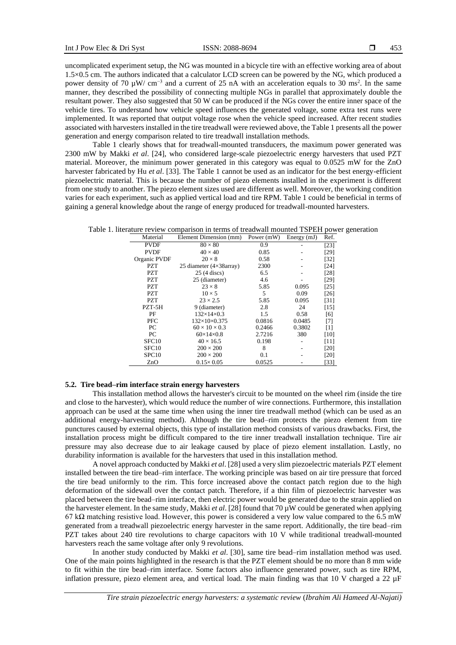uncomplicated experiment setup, the NG was mounted in a bicycle tire with an effective working area of about 1.5×0.5 cm. The authors indicated that a calculator LCD screen can be powered by the NG, which produced a power density of 70  $\mu$ W/ cm<sup>-3</sup> and a current of 25 nA with an acceleration equals to 30 ms<sup>2</sup>. In the same manner, they described the possibility of connecting multiple NGs in parallel that approximately double the resultant power. They also suggested that 50 W can be produced if the NGs cover the entire inner space of the vehicle tires. To understand how vehicle speed influences the generated voltage, some extra test runs were implemented. It was reported that output voltage rose when the vehicle speed increased. After recent studies associated with harvesters installed in the tire treadwall were reviewed above, the Table 1 presents all the power generation and energy comparison related to tire treadwall installation methods.

Table 1 clearly shows that for treadwall-mounted transducers, the maximum power generated was 2300 mW by Makki *et al*. [24], who considered large-scale piezoelectric energy harvesters that used PZT material. Moreover, the minimum power generated in this category was equal to 0.0525 mW for the ZnO harvester fabricated by Hu *et al*. [33]. The Table 1 cannot be used as an indicator for the best energy-efficient piezoelectric material. This is because the number of piezo elements installed in the experiment is different from one study to another. The piezo element sizes used are different as well. Moreover, the working condition varies for each experiment, such as applied vertical load and tire RPM. Table 1 could be beneficial in terms of gaining a general knowledge about the range of energy produced for treadwall-mounted harvesters.

Table 1. literature review comparison in terms of treadwall mounted TSPEH power generation

| Material          | Element Dimension (mm)          | Power $(mW)$ | Energy $(mJ)$ | Ref.   |
|-------------------|---------------------------------|--------------|---------------|--------|
| <b>PVDF</b>       | $80 \times 80$                  | 0.9          |               | $[23]$ |
| <b>PVDF</b>       | $40 \times 40$                  | 0.85         |               | $[29]$ |
| Organic PVDF      | $20 \times 8$                   | 0.58         |               | $[32]$ |
| PZT               | 25 diameter $(4\times38$ array) | 2300         |               | $[24]$ |
| <b>PZT</b>        | 25 (4 discs)                    | 6.5          |               | $[28]$ |
| <b>PZT</b>        | 25 (diameter)                   | 4.6          |               | [29]   |
| <b>PZT</b>        | $23 \times 8$                   | 5.85         | 0.095         | [25]   |
| <b>PZT</b>        | $10 \times 5$                   | 5            | 0.09          | $[26]$ |
| <b>PZT</b>        | $23 \times 2.5$                 | 5.85         | 0.095         | [31]   |
| PZT-5H            | 9 (diameter)                    | 2.8          | 24            | $[15]$ |
| PF                | $132\times14\times0.3$          | 1.5          | 0.58          | [6]    |
| <b>PFC</b>        | $132\times10\times0.375$        | 0.0816       | 0.0485        | [7]    |
| PC                | $60 \times 10 \times 0.3$       | 0.2466       | 0.3802        | $[1]$  |
| PC                | $60\times14\times0.8$           | 2.7216       | 380           | [10]   |
| SFC <sub>10</sub> | $40 \times 16.5$                | 0.198        |               | [11]   |
| SFC <sub>10</sub> | $200 \times 200$                | 8            |               | [20]   |
| SPC <sub>10</sub> | $200 \times 200$                | 0.1          |               | $[20]$ |
| ZnO               | $0.15 \times 0.05$              | 0.0525       |               | [33]   |

## **5.2. Tire bead–rim interface strain energy harvesters**

This installation method allows the harvester's circuit to be mounted on the wheel rim (inside the tire and close to the harvester), which would reduce the number of wire connections. Furthermore, this installation approach can be used at the same time when using the inner tire treadwall method (which can be used as an additional energy-harvesting method). Although the tire bead–rim protects the piezo element from tire punctures caused by external objects, this type of installation method consists of various drawbacks. First, the installation process might be difficult compared to the tire inner treadwall installation technique. Tire air pressure may also decrease due to air leakage caused by place of piezo element installation. Lastly, no durability information is available for the harvesters that used in this installation method.

A novel approach conducted by Makki *et al*. [28] used a very slim piezoelectric materials PZT element installed between the tire bead–rim interface. The working principle was based on air tire pressure that forced the tire bead uniformly to the rim. This force increased above the contact patch region due to the high deformation of the sidewall over the contact patch. Therefore, if a thin film of piezoelectric harvester was placed between the tire bead–rim interface, then electric power would be generated due to the strain applied on the harvester element. In the same study, Makki *et al*. [28] found that 70 µW could be generated when applying 67 k $\Omega$  matching resistive load. However, this power is considered a very low value compared to the 6.5 mW generated from a treadwall piezoelectric energy harvester in the same report. Additionally, the tire bead–rim PZT takes about 240 tire revolutions to charge capacitors with 10 V while traditional treadwall-mounted harvesters reach the same voltage after only 9 revolutions.

In another study conducted by Makki *et al*. [30], same tire bead–rim installation method was used. One of the main points highlighted in the research is that the PZT element should be no more than 8 mm wide to fit within the tire bead–rim interface. Some factors also influence generated power, such as tire RPM, inflation pressure, piezo element area, and vertical load. The main finding was that 10 V charged a 22  $\mu$ F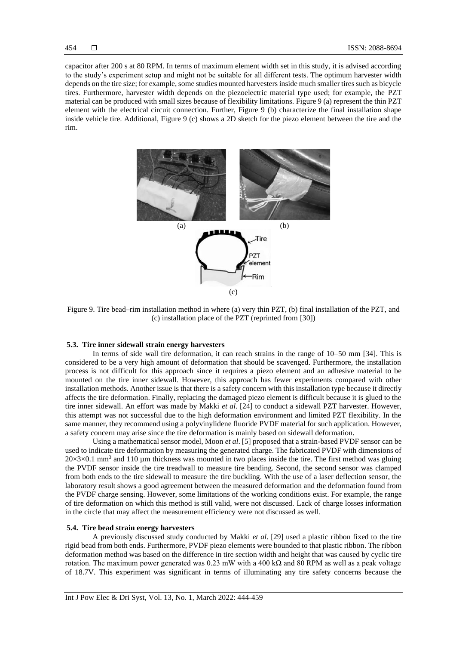capacitor after 200 s at 80 RPM. In terms of maximum element width set in this study, it is advised according to the study's experiment setup and might not be suitable for all different tests. The optimum harvester width depends on the tire size; for example, some studies mounted harvesters inside much smaller tires such as bicycle tires. Furthermore, harvester width depends on the piezoelectric material type used; for example, the PZT material can be produced with small sizes because of flexibility limitations. Figure 9 (a) represent the thin PZT element with the electrical circuit connection. Further, Figure 9 (b) characterize the final installation shape inside vehicle tire. Additional, Figure 9 (c) shows a 2D sketch for the piezo element between the tire and the rim.



Figure 9. Tire bead–rim installation method in where (a) very thin PZT, (b) final installation of the PZT, and (c) installation place of the PZT (reprinted from [30])

#### **5.3. Tire inner sidewall strain energy harvesters**

In terms of side wall tire deformation, it can reach strains in the range of 10–50 mm [34]. This is considered to be a very high amount of deformation that should be scavenged. Furthermore, the installation process is not difficult for this approach since it requires a piezo element and an adhesive material to be mounted on the tire inner sidewall. However, this approach has fewer experiments compared with other installation methods. Another issue is that there is a safety concern with this installation type because it directly affects the tire deformation. Finally, replacing the damaged piezo element is difficult because it is glued to the tire inner sidewall. An effort was made by Makki *et al*. [24] to conduct a sidewall PZT harvester. However, this attempt was not successful due to the high deformation environment and limited PZT flexibility. In the same manner, they recommend using a polyvinylidene fluoride PVDF material for such application. However, a safety concern may arise since the tire deformation is mainly based on sidewall deformation.

Using a mathematical sensor model, Moon *et al*. [5] proposed that a strain-based PVDF sensor can be used to indicate tire deformation by measuring the generated charge. The fabricated PVDF with dimensions of  $20\times3\times0.1$  mm<sup>3</sup> and 110 µm thickness was mounted in two places inside the tire. The first method was gluing the PVDF sensor inside the tire treadwall to measure tire bending. Second, the second sensor was clamped from both ends to the tire sidewall to measure the tire buckling. With the use of a laser deflection sensor, the laboratory result shows a good agreement between the measured deformation and the deformation found from the PVDF charge sensing. However, some limitations of the working conditions exist. For example, the range of tire deformation on which this method is still valid, were not discussed. Lack of charge losses information in the circle that may affect the measurement efficiency were not discussed as well.

# **5.4. Tire bead strain energy harvesters**

A previously discussed study conducted by Makki *et al*. [29] used a plastic ribbon fixed to the tire rigid bead from both ends. Furthermore, PVDF piezo elements were bounded to that plastic ribbon. The ribbon deformation method was based on the difference in tire section width and height that was caused by cyclic tire rotation. The maximum power generated was  $0.23$  mW with a 400 k $\Omega$  and 80 RPM as well as a peak voltage of 18.7V. This experiment was significant in terms of illuminating any tire safety concerns because the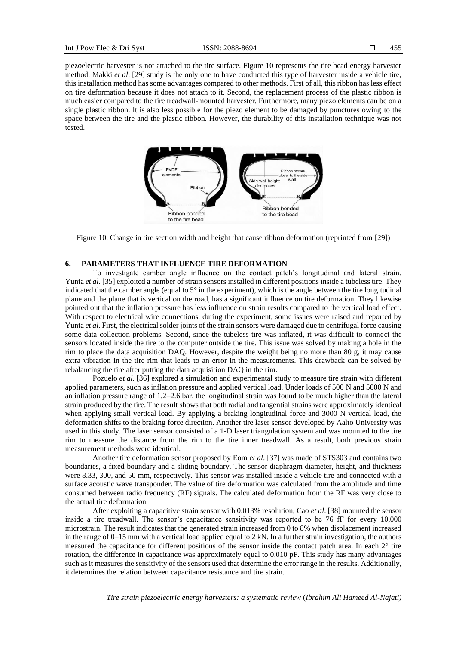piezoelectric harvester is not attached to the tire surface. Figure 10 represents the tire bead energy harvester method. Makki *et al*. [29] study is the only one to have conducted this type of harvester inside a vehicle tire, this installation method has some advantages compared to other methods. First of all, this ribbon has less effect on tire deformation because it does not attach to it. Second, the replacement process of the plastic ribbon is much easier compared to the tire treadwall-mounted harvester. Furthermore, many piezo elements can be on a single plastic ribbon. It is also less possible for the piezo element to be damaged by punctures owing to the space between the tire and the plastic ribbon. However, the durability of this installation technique was not tested.



Figure 10. Change in tire section width and height that cause ribbon deformation (reprinted from [29])

## **6. PARAMETERS THAT INFLUENCE TIRE DEFORMATION**

To investigate camber angle influence on the contact patch's longitudinal and lateral strain, Yunta *et al*. [35] exploited a number of strain sensors installed in different positions inside a tubeless tire. They indicated that the camber angle (equal to  $5^\circ$  in the experiment), which is the angle between the tire longitudinal plane and the plane that is vertical on the road, has a significant influence on tire deformation. They likewise pointed out that the inflation pressure has less influence on strain results compared to the vertical load effect. With respect to electrical wire connections, during the experiment, some issues were raised and reported by Yunta *et al*. First, the electrical solder joints of the strain sensors were damaged due to centrifugal force causing some data collection problems. Second, since the tubeless tire was inflated, it was difficult to connect the sensors located inside the tire to the computer outside the tire. This issue was solved by making a hole in the rim to place the data acquisition DAQ. However, despite the weight being no more than 80 g, it may cause extra vibration in the tire rim that leads to an error in the measurements. This drawback can be solved by rebalancing the tire after putting the data acquisition DAQ in the rim.

Pozuelo *et al*. [36] explored a simulation and experimental study to measure tire strain with different applied parameters, such as inflation pressure and applied vertical load. Under loads of 500 N and 5000 N and an inflation pressure range of 1.2–2.6 bar, the longitudinal strain was found to be much higher than the lateral strain produced by the tire. The result shows that both radial and tangential strains were approximately identical when applying small vertical load. By applying a braking longitudinal force and 3000 N vertical load, the deformation shifts to the braking force direction. Another tire laser sensor developed by Aalto University was used in this study. The laser sensor consisted of a 1-D laser triangulation system and was mounted to the tire rim to measure the distance from the rim to the tire inner treadwall. As a result, both previous strain measurement methods were identical.

Another tire deformation sensor proposed by Eom *et al*. [37] was made of STS303 and contains two boundaries, a fixed boundary and a sliding boundary. The sensor diaphragm diameter, height, and thickness were 8.33, 300, and 50 mm, respectively. This sensor was installed inside a vehicle tire and connected with a surface acoustic wave transponder. The value of tire deformation was calculated from the amplitude and time consumed between radio frequency (RF) signals. The calculated deformation from the RF was very close to the actual tire deformation.

After exploiting a capacitive strain sensor with 0.013% resolution, Cao *et al*. [38] mounted the sensor inside a tire treadwall. The sensor's capacitance sensitivity was reported to be 76 fF for every 10,000 microstrain. The result indicates that the generated strain increased from 0 to 8% when displacement increased in the range of  $0-15$  mm with a vertical load applied equal to  $2 \text{ kN}$ . In a further strain investigation, the authors measured the capacitance for different positions of the sensor inside the contact patch area. In each 2° tire rotation, the difference in capacitance was approximately equal to 0.010 pF. This study has many advantages such as it measures the sensitivity of the sensors used that determine the error range in the results. Additionally, it determines the relation between capacitance resistance and tire strain.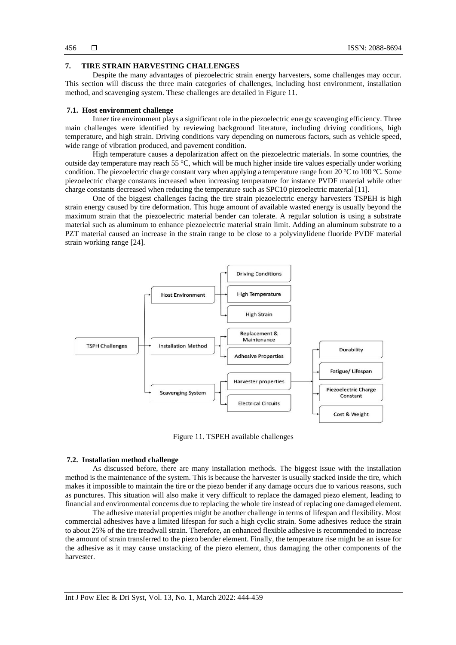## **7. TIRE STRAIN HARVESTING CHALLENGES**

Despite the many advantages of piezoelectric strain energy harvesters, some challenges may occur. This section will discuss the three main categories of challenges, including host environment, installation method, and scavenging system. These challenges are detailed in Figure 11.

#### **7.1. Host environment challenge**

Inner tire environment plays a significant role in the piezoelectric energy scavenging efficiency. Three main challenges were identified by reviewing background literature, including driving conditions, high temperature, and high strain. Driving conditions vary depending on numerous factors, such as vehicle speed, wide range of vibration produced, and pavement condition.

High temperature causes a depolarization affect on the piezoelectric materials. In some countries, the outside day temperature may reach 55 °C, which will be much higher inside tire values especially under working condition. The piezoelectric charge constant vary when applying a temperature range from 20  $^{\circ}$ C to 100  $^{\circ}$ C. Some piezoelectric charge constants increased when increasing temperature for instance PVDF material while other charge constants decreased when reducing the temperature such as SPC10 piezoelectric material [11].

One of the biggest challenges facing the tire strain piezoelectric energy harvesters TSPEH is high strain energy caused by tire deformation. This huge amount of available wasted energy is usually beyond the maximum strain that the piezoelectric material bender can tolerate. A regular solution is using a substrate material such as aluminum to enhance piezoelectric material strain limit. Adding an aluminum substrate to a PZT material caused an increase in the strain range to be close to a polyvinylidene fluoride PVDF material strain working range [24].



Figure 11. TSPEH available challenges

#### **7.2. Installation method challenge**

As discussed before, there are many installation methods. The biggest issue with the installation method is the maintenance of the system. This is because the harvester is usually stacked inside the tire, which makes it impossible to maintain the tire or the piezo bender if any damage occurs due to various reasons, such as punctures. This situation will also make it very difficult to replace the damaged piezo element, leading to financial and environmental concerns due to replacing the whole tire instead of replacing one damaged element.

The adhesive material properties might be another challenge in terms of lifespan and flexibility. Most commercial adhesives have a limited lifespan for such a high cyclic strain. Some adhesives reduce the strain to about 25% of the tire treadwall strain. Therefore, an enhanced flexible adhesive is recommended to increase the amount of strain transferred to the piezo bender element. Finally, the temperature rise might be an issue for the adhesive as it may cause unstacking of the piezo element, thus damaging the other components of the harvester.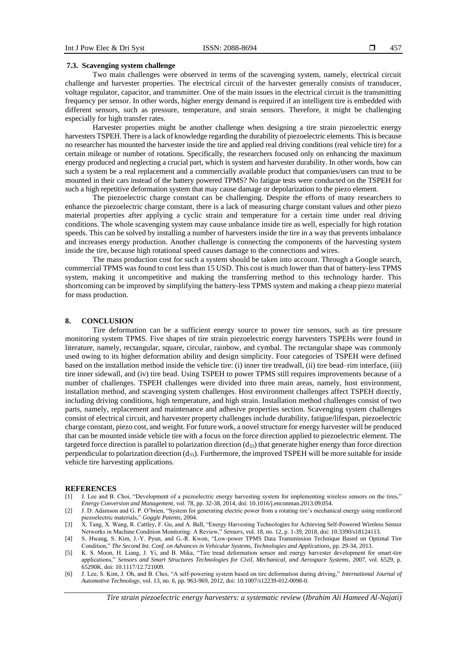## **7.3. Scavenging system challenge**

Two main challenges were observed in terms of the scavenging system, namely, electrical circuit challenge and harvester properties. The electrical circuit of the harvester generally consists of transducer, voltage regulator, capacitor, and transmitter. One of the main issues in the electrical circuit is the transmitting frequency per sensor. In other words, higher energy demand is required if an intelligent tire is embedded with different sensors, such as pressure, temperature, and strain sensors. Therefore, it might be challenging especially for high transfer rates.

Harvester properties might be another challenge when designing a tire strain piezoelectric energy harvesters TSPEH. There is a lack of knowledge regarding the durability of piezoelectric elements. This is because no researcher has mounted the harvester inside the tire and applied real driving conditions (real vehicle tire) for a certain mileage or number of rotations. Specifically, the researchers focused only on enhancing the maximum energy produced and neglecting a crucial part, which is system and harvester durability. In other words, how can such a system be a real replacement and a commercially available product that companies/users can trust to be mounted in their cars instead of the battery powered TPMS? No fatigue tests were conducted on the TSPEH for such a high repetitive deformation system that may cause damage or depolarization to the piezo element.

The piezoelectric charge constant can be challenging. Despite the efforts of many researchers to enhance the piezoelectric charge constant, there is a lack of measuring charge constant values and other piezo material properties after applying a cyclic strain and temperature for a certain time under real driving conditions. The whole scavenging system may cause unbalance inside tire as well, especially for high rotation speeds. This can be solved by installing a number of harvesters inside the tire in a way that prevents imbalance and increases energy production. Another challenge is connecting the components of the harvesting system inside the tire, because high rotational speed causes damage to the connections and wires.

The mass production cost for such a system should be taken into account. Through a Google search, commercial TPMS was found to cost less than 15 USD. This cost is much lower than that of battery-less TPMS system, making it uncompetitive and making the transferring method to this technology harder. This shortcoming can be improved by simplifying the battery-less TPMS system and making a cheap piezo material for mass production.

#### **8. CONCLUSION**

Tire deformation can be a sufficient energy source to power tire sensors, such as tire pressure monitoring system TPMS. Five shapes of tire strain piezoelectric energy harvesters TSPEHs were found in literature, namely, rectangular, square, circular, rainbow, and cymbal. The rectangular shape was commonly used owing to its higher deformation ability and design simplicity. Four categories of TSPEH were defined based on the installation method inside the vehicle tire: (i) inner tire treadwall, (ii) tire bead–rim interface, (iii) tire inner sidewall, and (iv) tire bead. Using TSPEH to power TPMS still requires improvements because of a number of challenges. TSPEH challenges were divided into three main areas, namely, host environment, installation method, and scavenging system challenges. Host environment challenges affect TSPEH directly, including driving conditions, high temperature, and high strain. Installation method challenges consist of two parts, namely, replacement and maintenance and adhesive properties section. Scavenging system challenges consist of electrical circuit, and harvester property challenges include durability, fatigue/lifespan, piezoelectric charge constant, piezo cost, and weight. For future work, a novel structure for energy harvester will be produced that can be mounted inside vehicle tire with a focus on the force direction applied to piezoelectric element. The targeted force direction is parallel to polarization direction  $(d_{33})$  that generate higher energy than force direction perpendicular to polarization direction  $(d_{31})$ . Furthermore, the improved TSPEH will be more suitable for inside vehicle tire harvesting applications.

#### **REFERENCES**

- [1] J. Lee and B. Choi, "Development of a piezoelectric energy harvesting system for implementing wireless sensors on the tires," *Energy Conversion and Management*, vol. 78, pp. 32-38, 2014, doi: 10.1016/j.enconman.2013.09.054.
- [2] J. D. Adamson and G. P. O'brien, "System for generating electric power from a rotating tire's mechanical energy using reinforced piezoelectric materials," *Goggle Patents*, 2004.
- [3] X. Tang, X. Wang, R. Cattley, F. Gu, and A. Ball, "Energy Harvesting Technologies for Achieving Self-Powered Wireless Sensor Networks in Machine Condition Monitoring: A Review," *Sensors*, vol. 18, no. 12, p. 1-39, 2018, doi: 10.3390/s18124113.
- [4] S. Hwang, S. Kim, J.-Y. Pyun, and G.-R. Kwon, "Low-power TPMS Data Transmission Technique Based on Optimal Tire Condition," *The Second Int. Conf. on Advances in Vehicular Systems, Technologies and Applications*, pp. 29-34, 2013.
- [5] K. S. Moon, H. Liang, J. Yi, and B. Mika, "Tire tread deformation sensor and energy harvester development for smart-tire applications," *Sensors and Smart Structures Technologies for Civil, Mechanical, and Aerospace Systems*, 2007, vol. 6529, p. 65290K. doi: 10.1117/12.721009.
- [6] J. Lee, S. Kim, J. Oh, and B. Choi, "A self-powering system based on tire deformation during driving," *International Journal of Automotive Technology*, vol. 13, no. 6, pp. 963-969, 2012, doi: 10.1007/s12239-012-0098-0.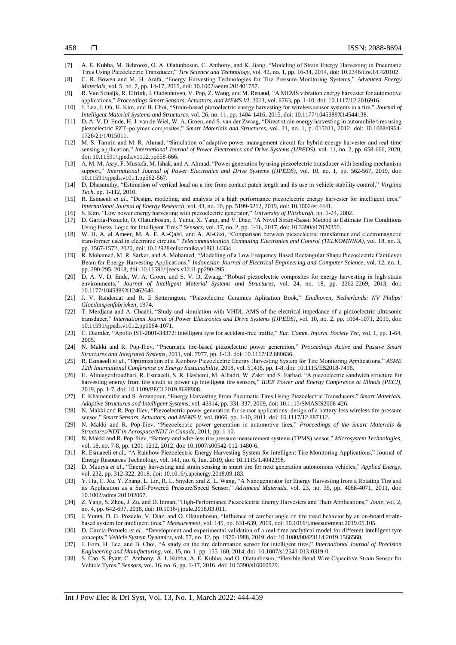- [7] A. E. Kubba, M. Behroozi, O. A. Olatunbosun, C. Anthony, and K. Jiang, "Modeling of Strain Energy Harvesting in Pneumatic Tires Using Piezoelectric Transducer," *Tire Science and Technology*, vol. 42, no. 1, pp. 16-34, 2014, doi: 10.2346/tire.14.420102.
- [8] C. R. Bowen and M. H. Arafa, "Energy Harvesting Technologies for Tire Pressure Monitoring Systems," *Advanced Energy Materials*, vol. 5, no. 7, pp. 14-17, 2015, doi: 10.1002/aenm.201401787.
- [9] R. Van Schaijk, R. Elfrink, J. Oudenhoven, V. Pop, Z. Wang, and M. Renaud, "A MEMS vibration energy harvester for automotive applications," *Proceedings Smart Sensors, Actuators, and MEMS VI*, 2013, vol. 8763, pp. 1-10. doi: 10.1117/12.2016916.
- [10] J. Lee, J. Oh, H. Kim, and B. Choi, "Strain-based piezoelectric energy harvesting for wireless sensor systems in a tire," *Journal of Intelligent Material Systems and Structures*, vol. 26, no. 11, pp. 1404-1416, 2015, doi: 10.1177/1045389X14544138.
- [11] D. A. V. D. Ende, H. J. van de Wiel, W. A. Groen, and S. van der Zwaag, "Direct strain energy harvesting in automobile tires using piezoelectric PZT–polymer composites," *Smart Materials and Structures*, vol. 21, no. 1, p. 015011, 2012, doi: 10.1088/0964- 1726/21/1/015011.
- [12] M. S. Tamrin and M. R. Ahmad, "Simulation of adaptive power management circuit for hybrid energy harvester and real-time sensing application," *International Journal of Power Electronics and Drive Systems (IJPEDS)*, vol. 11, no. 2, pp. 658-666, 2020, doi: 10.11591/ijpeds.v11.i2.pp658-666.
- [13] A. M. M. Asry, F. Mustafa, M. Ishak, and A. Ahmad, "Power generation by using piezoelectric transducer with bending mechanism support," *International Journal of Power Electronics and Drive Systems (IJPEDS)*, vol. 10, no. 1, pp. 562-567, 2019, doi: 10.11591/ijpeds.v10.i1.pp562-567.
- [14] D. Dhasarathy, "Estimation of vertical load on a tire from contact patch length and its use in vehicle stability control," *Virginia Tech*, pp. 1-112, 2010.
- [15] R. Esmaeeli *et al*., "Design, modeling, and analysis of a high performance piezoelectric energy harvester for intelligent tires," *International Journal of Energy Research*, vol. 43, no. 10, pp. 5199-5212, 2019, doi: 10.1002/er.4441.
- [16] S. Kim, "Low power energy harvesting with piezoelectric generator," *University of Pittsburgh*, pp. 1-24, 2002.
- [17] D. Garcia-Pozuelo, O. Olatunbosun, J. Yunta, X. Yang, and V. Diaz, "A Novel Strain-Based Method to Estimate Tire Conditions Using Fuzzy Logic for Intelligent Tires," *Sensors*, vol. 17, no. 2, pp. 1-16, 2017, doi: 10.3390/s17020350.
- [18] W. H. A. al Ameer, M. A. F. Al-Qaisi, and A. Al-Gizi, "Comparison between piezoelectric transformer and electromagnetic transformer used in electronic circuits," *Telecommunication Computing Electronics and Control (TELKOMNIKA)*, vol. 18, no. 3, pp. 1567-1572, 2020, doi: 10.12928/telkomnika.v18i3.14334.
- [19] R. Mohamed, M. R. Sarker, and A. Mohamed, "Modelling of a Low Frequency Based Rectangular Shape Piezoelectric Cantilever Beam for Energy Harvesting Applications," *Indonesian Journal of Electrical Engineering and Computer Science*, vol. 12, no. 1, pp. 290-295, 2018, doi: 10.11591/ijeecs.v12.i1.pp290-295.
- [20] D. A. V. D. Ende, W. A. Groen, and S. V. D. Zwaag, "Robust piezoelectric composites for energy harvesting in high-strain environments," *Journal of Intelligent Material Systems and Structures*, vol. 24, no. 18, pp. 2262-2269, 2013, doi: 10.1177/1045389X12462646.
- [21] J. V. Randeraat and R. E Setterington, "Piezoelectric Ceramics Aplication Book," *Eindhoven, Netherlands: NV Philips' Gloeilampenfabrieken*, 1974.
- [22] T. Merdjana and A. Chaabi, "Study and simulation with VHDL-AMS of the electrical impedance of a piezoelectric ultrasonic transducer," *International Journal of Power Electronics and Drive Systems (IJPEDS)*, vol. 10, no. 2, pp. 1064-1071, 2019, doi: 10.11591/ijpeds.v10.i2.pp1064-1071.
- [23] C. Daimler, "Apollo IST-2001-34372: intelligent tyre for accident-free traffic," *Eur. Comm. Inform. Society Tec*, vol. 1, pp. 1-64, 2005.
- [24] N. Makki and R. Pop-Iliev, "Pneumatic tire-based piezoelectric power generation," *Proceedings Active and Passive Smart Structures and Integrated Systems*, 2011, vol. 7977, pp. 1-13. doi: 10.1117/12.880636.
- [25] R. Esmaeeli *et al*., "Optimization of a Rainbow Piezoelectric Energy Harvesting System for Tire Monitoring Applications," *ASME 12th International Conference on Energy Sustainability*, 2018, vol. 51418, pp. 1-8, doi: 10.1115/ES2018-7496.
- [26] H. Aliniagerdroudbari, R. Esmaeeli, S. R. Hashemi, M. Alhadri, W. Zakri and S. Farhad, "A piezoelectric sandwich structure for harvesting energy from tire strain to power up intelligent tire sensors," *IEEE Power and Energy Conference at Illinois (PECI)*, 2019, pp. 1-7, doi: 10.1109/PECI.2019.8698908.
- [27] F. Khameneifar and S. Arzanpour, "Energy Harvesting From Pneumatic Tires Using Piezoelectric Transducers," *Smart Materials, Adaptive Structures and Intelligent Systems*, vol. 43314, pp. 331-337, 2009, doi: 10.1115/SMASIS2008-426.
- [28] N. Makki and R. Pop-Iliev, "Piezoelectric power generation for sensor applications: design of a battery-less wireless tire pressure sensor," *Smart Sensors, Actuators, and MEMS V*, vol. 8066, pp. 1-10, 2011, doi: 10.1117/12.887112.
- [29] N. Makki and R. Pop-Iliev, "Piezoelectric power generation in automotive tires," *Proceedings of the Smart Materials & Structures/NDT in Aerospace/NDT in Canada*, 2011, pp. 1-10.
- [30] N. Makki and R. Pop-Iliev, "Battery-and wire-less tire pressure measurement systems (TPMS) sensor," *Microsystem Technologies*, vol. 18, no. 7-8, pp. 1201-1212, 2012, doi: 10.1007/s00542-012-1480-6.
- [31] R. Esmaeeli et al., "A Rainbow Piezoelectric Energy Harvesting System for Intelligent Tire Monitoring Applications," Journal of Energy Resources Technology, vol. 141, no. 6, Jun. 2019, doi: 10.1115/1.4042398.
- [32] D. Maurya *et al*., "Energy harvesting and strain sensing in smart tire for next generation autonomous vehicles," *Applied Energy*, vol. 232, pp. 312-322, 2018, doi: 10.1016/j.apenergy.2018.09.183.
- [33] Y. Hu, C. Xu, Y. Zhang, L. Lin, R. L. Snyder, and Z. L. Wang, "A Nanogenerator for Energy Harvesting from a Rotating Tire and its Application as a Self-Powered Pressure/Speed Sensor," *Advanced Materials*, vol. 23, no. 35, pp. 4068-4071, 2011, doi: 10.1002/adma.201102067.
- [34] Z. Yang, S. Zhou, J. Zu, and D. Inman, "High-Performance Piezoelectric Energy Harvesters and Their Applications," *Joule*, vol. 2, no. 4, pp. 642-697, 2018, doi: 10.1016/j.joule.2018.03.011.
- [35] J. Yunta, D. G. Pozuelo, V. Diaz, and O. Olatunbosun, "Influence of camber angle on tire tread behavior by an on-board strainbased system for intelligent tires," *Measurement*, vol. 145, pp. 631-639, 2019, doi: 10.1016/j.measurement.2019.05.105.
- [36] D. Garcia-Pozuelo *et al*., "Development and experimental validation of a real-time analytical model for different intelligent tyre concepts," *Vehicle System Dynamics*, vol. 57, no. 12, pp. 1970-1988, 2019, doi: 10.1080/00423114.2019.1566560.
- [37] J. Eom, H. Lee, and B. Choi, "A study on the tire deformation sensor for intelligent tires," *International Journal of Precision Engineering and Manufacturing*, vol. 15, no. 1, pp. 155-160, 2014, doi: 10.1007/s12541-013-0319-0.
- [38] S. Cao, S. Pyatt, C. Anthony, A. I. Kubba, A. E. Kubba, and O. Olatunbosun, "Flexible Bond Wire Capacitive Strain Sensor for Vehicle Tyres," *Sensors*, vol. 16, no. 6, pp. 1-17, 2016, doi: 10.3390/s16060929.